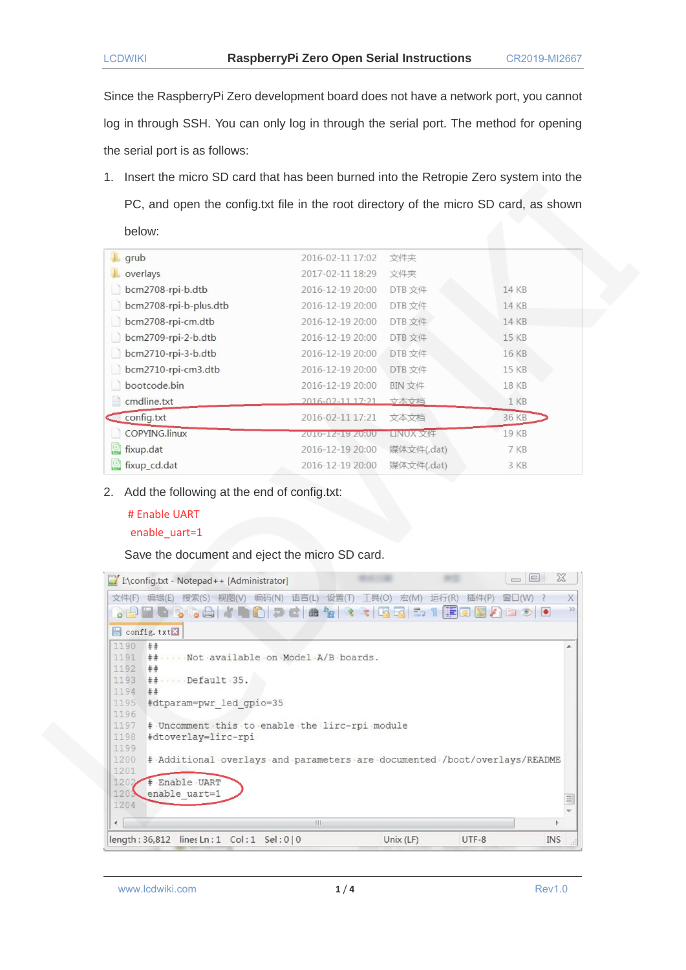Since the RaspberryPi Zero development board does not have a network port, you cannot log in through SSH. You can only log in through the serial port. The method for opening the serial port is as follows:

1. Insert the micro SD card that has been burned into the Retropie Zero system into the PC, and open the config.txt file in the root directory of the micro SD card, as shown below:

| $\Box$ grub                  | 2016-02-11 17:02 | 文件夹        |              |
|------------------------------|------------------|------------|--------------|
| overlays                     | 2017-02-11 18:29 | 文件夹        |              |
| bcm2708-rpi-b.dtb            | 2016-12-19 20:00 | DTB 文件     | 14 KB        |
| bcm2708-rpi-b-plus.dtb<br>IJ | 2016-12-19 20:00 | DTB 文件     | 14 KB        |
| bcm2708-rpi-cm.dtb           | 2016-12-19 20:00 | DTB 文件     | <b>14 KB</b> |
| bcm2709-rpi-2-b.dtb          | 2016-12-19 20:00 | DTB 文件     | 15 KB        |
| bcm2710-rpi-3-b.dtb<br>u     | 2016-12-19 20:00 | DTB 文件     | 16 KB        |
| bcm2710-rpi-cm3.dtb<br>n     | 2016-12-19 20:00 | DTB 文件     | 15 KB        |
| bootcode.bin                 | 2016-12-19 20:00 | BIN 文件     | 18 KB        |
| cmdline.txt<br>m             | 2016-02-11 17:21 | 文本文档       | 1 KB         |
| config.txt                   | 2016-02-11 17:21 | 文本文档       | 36 KB        |
| COPYING.linux                | Z010-1Z-19 Z0:00 | LINUX 文件   | <b>19 KB</b> |
| $\mathbb{C}$<br>fixup.dat    | 2016-12-19 20:00 | 媒体文件(.dat) | 7 KB         |
| fixup_cd.dat                 | 2016-12-19 20:00 | 媒体文件(.dat) | 3 KB         |
|                              |                  |            |              |

2. Add the following at the end of config.txt:

## # Enable UART enable\_uart=1

Save the document and eject the micro SD card.

|            | X<br>$=$<br>$\Box$ I:\config.txt - Notepad++ [Administrator]<br>$\overline{\phantom{0}}$                       |          |
|------------|----------------------------------------------------------------------------------------------------------------|----------|
| 文件(F)      | 视图(V)<br>语言(L)<br>设置(T)<br>$T\equiv(0)$<br>插件(P)<br>窗口(W)<br>编辑(E)<br>搜索(S)<br>编码(N)<br>宏(M)<br>运行(R)          | X        |
|            | $\Box$<br>$\mathcal{L}$ defined to the $\bullet$<br>$D_{\text{H2}}$<br>怪に<br><b>Base</b><br>曲<br>$\rightarrow$ | $\gg$    |
|            | $\Box$ config. txt $\Sigma$                                                                                    |          |
| 1190       | ##                                                                                                             |          |
| 1191       | ## Not available on Model A/B boards.                                                                          |          |
| 1192       | ##                                                                                                             |          |
| 1193       | $\#$ $\cdots$ Default 35.                                                                                      |          |
| 1194       | ##                                                                                                             |          |
| 1195       | #dtparam=pwr led gpio=35                                                                                       |          |
| 1196       |                                                                                                                |          |
| 1197       | # Uncomment this to enable the lirc-rpi module                                                                 |          |
| 1198       | #dtoverlay=lirc-rpi                                                                                            |          |
| 1199       |                                                                                                                |          |
| 1200       | # Additional overlays and parameters are documented /boot/overlays/README                                      |          |
| 1201       |                                                                                                                |          |
| 1202       | # Enable UART                                                                                                  |          |
| 1203       | enable uart=1                                                                                                  | $\equiv$ |
| 1204       |                                                                                                                |          |
| $\epsilon$ | m                                                                                                              |          |
|            | length: $36,812$ lines Ln: 1 Col: 1 Sel: 0   0<br>Unix $(LF)$<br><b>INS</b><br>$UTF-8$                         |          |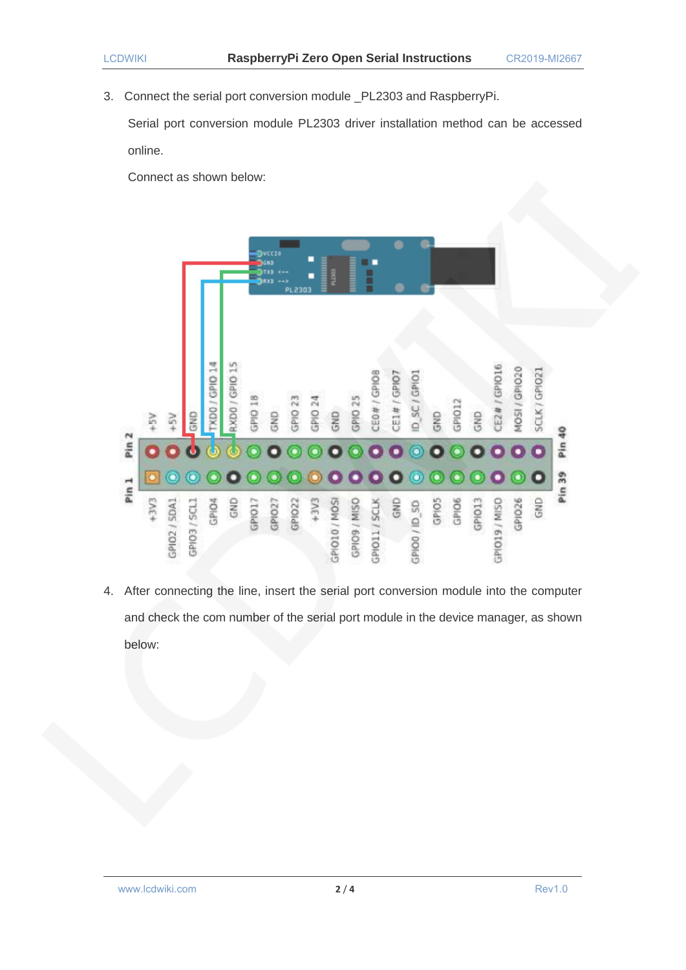3. Connect the serial port conversion module \_PL2303 and RaspberryPi.

Serial port conversion module PL2303 driver installation method can be accessed online.

Connect as shown below:



4. After connecting the line, insert the serial port conversion module into the computer and check the com number of the serial port module in the device manager, as shown below: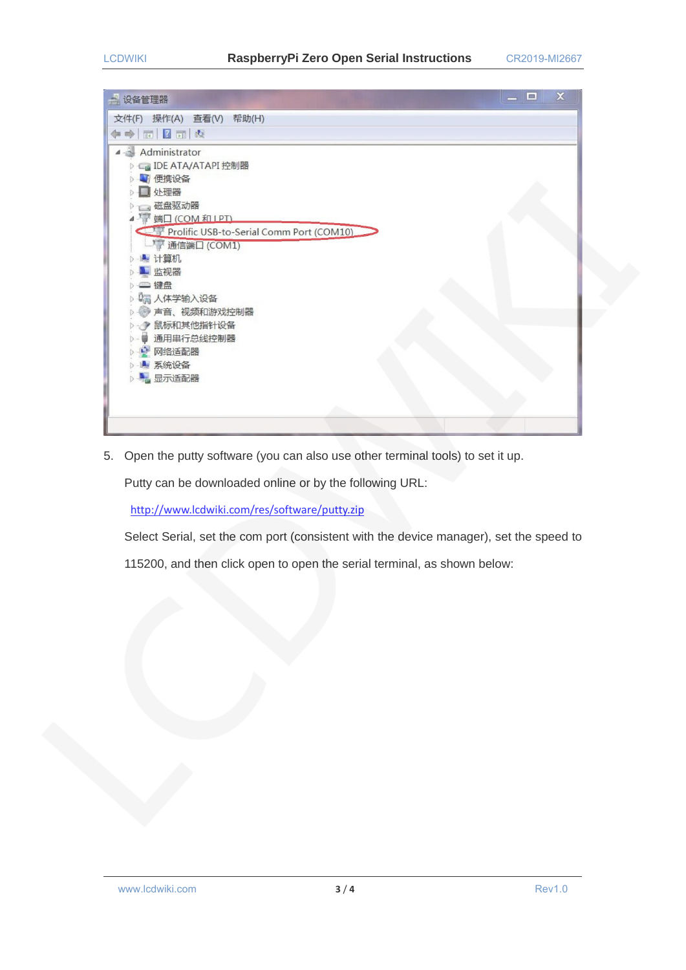| $\mathbb X$<br>о<br>设备管理器<br>疂           |
|------------------------------------------|
| 文件(F) 操作(A) 查看(V) 帮助(H)                  |
| 同日同点<br>$\Rightarrow$<br>⇚               |
| Administrator                            |
| <b>BIDE ATA/ATAPI 控制器</b>                |
| ■便携设备<br>处理器                             |
| 磁盘驱动器                                    |
| ●端口 (COM 和 IPT)                          |
| Prolific USB-to-Serial Comm Port (COM10) |
| <b>通信端口 (COM1)</b>                       |
| ▲ 计算机                                    |
| ■ 监视器                                    |
| □ 键盘                                     |
| <b>【清 人体学输入设备</b>                        |
| 声音、视频和游戏控制器                              |
| ● 鼠标和其他指针设备<br>通用串行总线控制器                 |
| ■ 网络适配器                                  |
| ▲ 系统设备                                   |
| ■ 显示适配器                                  |
|                                          |
|                                          |
|                                          |

5. Open the putty software (you can also use other terminal tools) to set it up.

Putty can be downloaded online or by the following URL:

<http://www.lcdwiki.com/res/software/putty.zip>

Select Serial, set the com port (consistent with the device manager), set the speed to

115200, and then click open to open the serial terminal, as shown below: